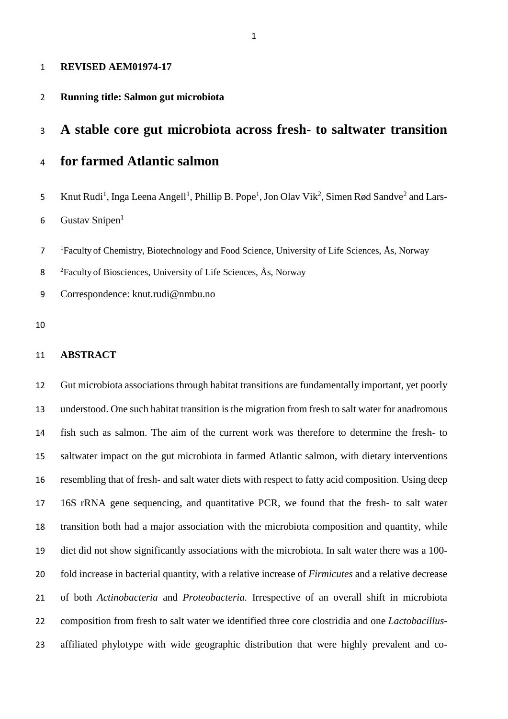#### **REVISED AEM01974-17**

#### **Running title: Salmon gut microbiota**

## **A stable core gut microbiota across fresh- to saltwater transition**

## **for farmed Atlantic salmon**

5 Knut Rudi<sup>1</sup>, Inga Leena Angell<sup>1</sup>, Phillip B. Pope<sup>1</sup>, Jon Olav Vik<sup>2</sup>, Simen Rød Sandve<sup>2</sup> and Lars-Gustav Snipen<sup>1</sup> 

<sup>1</sup> Faculty of Chemistry, Biotechnology and Food Science, University of Life Sciences, Ås, Norway

<sup>2</sup> Faculty of Biosciences, University of Life Sciences, Ås, Norway

Correspondence: knut.rudi@nmbu.no

#### **ABSTRACT**

 Gut microbiota associations through habitat transitions are fundamentally important, yet poorly understood. One such habitat transition is the migration from fresh to salt water for anadromous fish such as salmon. The aim of the current work was therefore to determine the fresh- to saltwater impact on the gut microbiota in farmed Atlantic salmon, with dietary interventions resembling that of fresh- and salt water diets with respect to fatty acid composition. Using deep 16S rRNA gene sequencing, and quantitative PCR, we found that the fresh- to salt water transition both had a major association with the microbiota composition and quantity, while diet did not show significantly associations with the microbiota. In salt water there was a 100- fold increase in bacterial quantity, with a relative increase of *Firmicutes* and a relative decrease of both *Actinobacteria* and *Proteobacteria.* Irrespective of an overall shift in microbiota composition from fresh to salt water we identified three core clostridia and one *Lactobacillus*-affiliated phylotype with wide geographic distribution that were highly prevalent and co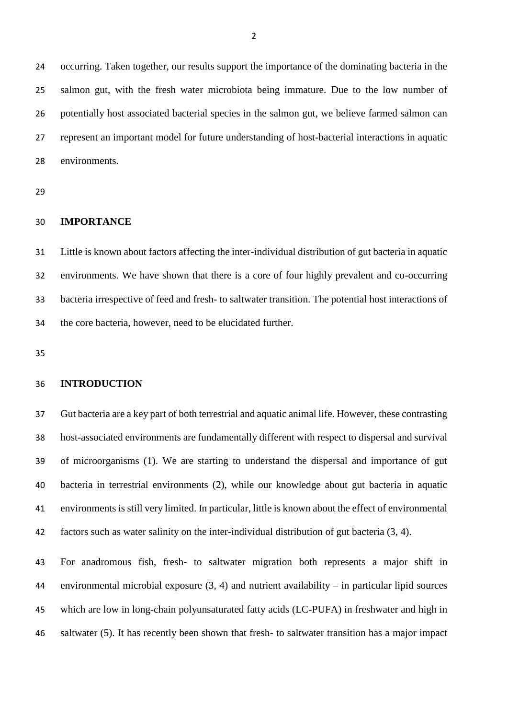occurring. Taken together, our results support the importance of the dominating bacteria in the salmon gut, with the fresh water microbiota being immature. Due to the low number of potentially host associated bacterial species in the salmon gut, we believe farmed salmon can represent an important model for future understanding of host-bacterial interactions in aquatic environments.

## **IMPORTANCE**

 Little is known about factors affecting the inter-individual distribution of gut bacteria in aquatic environments. We have shown that there is a core of four highly prevalent and co-occurring bacteria irrespective of feed and fresh- to saltwater transition. The potential host interactions of the core bacteria, however, need to be elucidated further.

#### **INTRODUCTION**

 Gut bacteria are a key part of both terrestrial and aquatic animal life. However, these contrasting host-associated environments are fundamentally different with respect to dispersal and survival of microorganisms (1). We are starting to understand the dispersal and importance of gut bacteria in terrestrial environments (2), while our knowledge about gut bacteria in aquatic environments is still very limited. In particular, little is known about the effect of environmental factors such as water salinity on the inter-individual distribution of gut bacteria (3, 4).

 For anadromous fish, fresh- to saltwater migration both represents a major shift in environmental microbial exposure (3, 4) and nutrient availability – in particular lipid sources which are low in long-chain polyunsaturated fatty acids (LC-PUFA) in freshwater and high in saltwater (5). It has recently been shown that fresh- to saltwater transition has a major impact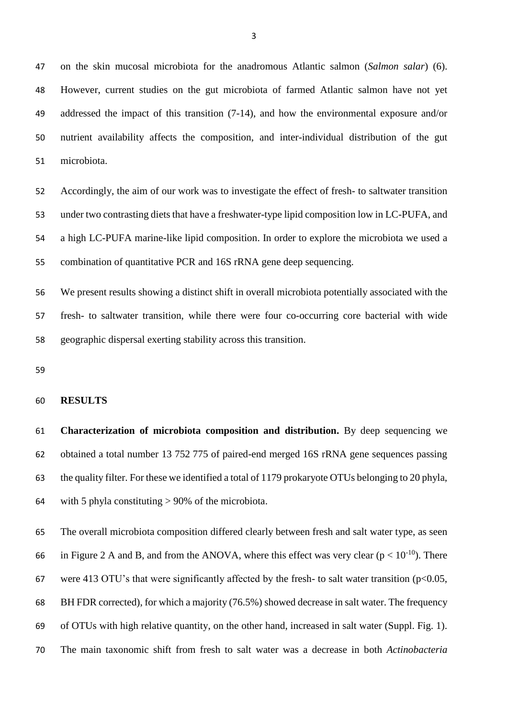on the skin mucosal microbiota for the anadromous Atlantic salmon (*Salmon salar*) (6). However, current studies on the gut microbiota of farmed Atlantic salmon have not yet addressed the impact of this transition (7-14), and how the environmental exposure and/or nutrient availability affects the composition, and inter-individual distribution of the gut microbiota.

 Accordingly, the aim of our work was to investigate the effect of fresh- to saltwater transition under two contrasting diets that have a freshwater-type lipid composition low in LC-PUFA, and a high LC-PUFA marine-like lipid composition. In order to explore the microbiota we used a combination of quantitative PCR and 16S rRNA gene deep sequencing.

 We present results showing a distinct shift in overall microbiota potentially associated with the fresh- to saltwater transition, while there were four co-occurring core bacterial with wide geographic dispersal exerting stability across this transition.

#### **RESULTS**

 **Characterization of microbiota composition and distribution.** By deep sequencing we obtained a total number 13 752 775 of paired-end merged 16S rRNA gene sequences passing the quality filter. For these we identified a total of 1179 prokaryote OTUs belonging to 20 phyla, with 5 phyla constituting > 90% of the microbiota.

 The overall microbiota composition differed clearly between fresh and salt water type, as seen 66 in Figure 2 A and B, and from the ANOVA, where this effect was very clear ( $p < 10^{-10}$ ). There 67 were 413 OTU's that were significantly affected by the fresh- to salt water transition ( $p<0.05$ , BH FDR corrected), for which a majority (76.5%) showed decrease in salt water. The frequency of OTUs with high relative quantity, on the other hand, increased in salt water (Suppl. Fig. 1). The main taxonomic shift from fresh to salt water was a decrease in both *Actinobacteria*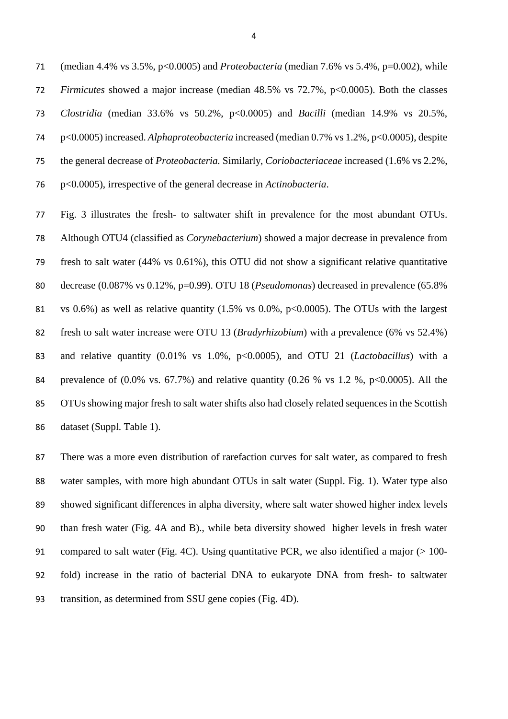(median 4.4% vs 3.5%, p<0.0005) and *Proteobacteria* (median 7.6% vs 5.4%, p=0.002), while *Firmicutes* showed a major increase (median 48.5% vs 72.7%, p<0.0005). Both the classes *Clostridia* (median 33.6% vs 50.2%, p<0.0005) and *Bacilli* (median 14.9% vs 20.5%, p<0.0005) increased. *Alphaproteobacteria* increased (median 0.7% vs 1.2%, p<0.0005), despite the general decrease of *Proteobacteria.* Similarly, *Coriobacteriaceae* increased (1.6% vs 2.2%, p<0.0005), irrespective of the general decrease in *Actinobacteria*.

 Fig. 3 illustrates the fresh- to saltwater shift in prevalence for the most abundant OTUs. Although OTU4 (classified as *Corynebacterium*) showed a major decrease in prevalence from fresh to salt water (44% vs 0.61%), this OTU did not show a significant relative quantitative decrease (0.087% vs 0.12%, p=0.99). OTU 18 (*Pseudomonas*) decreased in prevalence (65.8% vs 0.6%) as well as relative quantity (1.5% vs 0.0%, p<0.0005). The OTUs with the largest fresh to salt water increase were OTU 13 (*Bradyrhizobium*) with a prevalence (6% vs 52.4%) and relative quantity (0.01% vs 1.0%, p<0.0005), and OTU 21 (*Lactobacillus*) with a 84 prevalence of  $(0.0\% \text{ vs. } 67.7\%)$  and relative quantity  $(0.26 \% \text{ vs. } 1.2 \% \text{, } p<0.0005)$ . All the OTUs showing major fresh to salt water shifts also had closely related sequences in the Scottish dataset (Suppl. Table 1).

 There was a more even distribution of rarefaction curves for salt water, as compared to fresh water samples, with more high abundant OTUs in salt water (Suppl. Fig. 1). Water type also showed significant differences in alpha diversity, where salt water showed higher index levels than fresh water (Fig. 4A and B)., while beta diversity showed higher levels in fresh water compared to salt water (Fig. 4C). Using quantitative PCR, we also identified a major (> 100- fold) increase in the ratio of bacterial DNA to eukaryote DNA from fresh- to saltwater transition, as determined from SSU gene copies (Fig. 4D).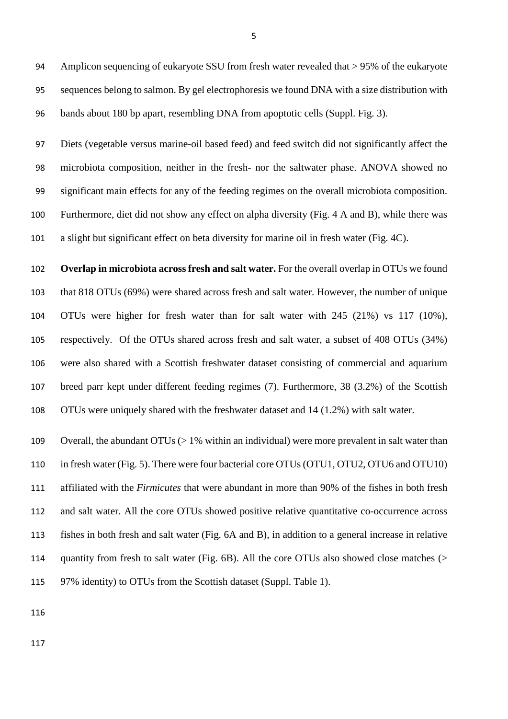Amplicon sequencing of eukaryote SSU from fresh water revealed that > 95% of the eukaryote sequences belong to salmon. By gel electrophoresis we found DNA with a size distribution with bands about 180 bp apart, resembling DNA from apoptotic cells (Suppl. Fig. 3).

 Diets (vegetable versus marine-oil based feed) and feed switch did not significantly affect the microbiota composition, neither in the fresh- nor the saltwater phase. ANOVA showed no significant main effects for any of the feeding regimes on the overall microbiota composition. Furthermore, diet did not show any effect on alpha diversity (Fig. 4 A and B), while there was a slight but significant effect on beta diversity for marine oil in fresh water (Fig. 4C).

 **Overlap in microbiota across fresh and salt water.** For the overall overlap in OTUs we found that 818 OTUs (69%) were shared across fresh and salt water. However, the number of unique OTUs were higher for fresh water than for salt water with 245 (21%) vs 117 (10%), respectively. Of the OTUs shared across fresh and salt water, a subset of 408 OTUs (34%) were also shared with a Scottish freshwater dataset consisting of commercial and aquarium breed parr kept under different feeding regimes (7). Furthermore, 38 (3.2%) of the Scottish OTUs were uniquely shared with the freshwater dataset and 14 (1.2%) with salt water.

 Overall, the abundant OTUs (> 1% within an individual) were more prevalent in salt water than 110 in fresh water (Fig. 5). There were four bacterial core OTUs (OTU1, OTU2, OTU6 and OTU10) affiliated with the *Firmicutes* that were abundant in more than 90% of the fishes in both fresh and salt water. All the core OTUs showed positive relative quantitative co-occurrence across fishes in both fresh and salt water (Fig. 6A and B), in addition to a general increase in relative quantity from fresh to salt water (Fig. 6B). All the core OTUs also showed close matches (> 97% identity) to OTUs from the Scottish dataset (Suppl. Table 1).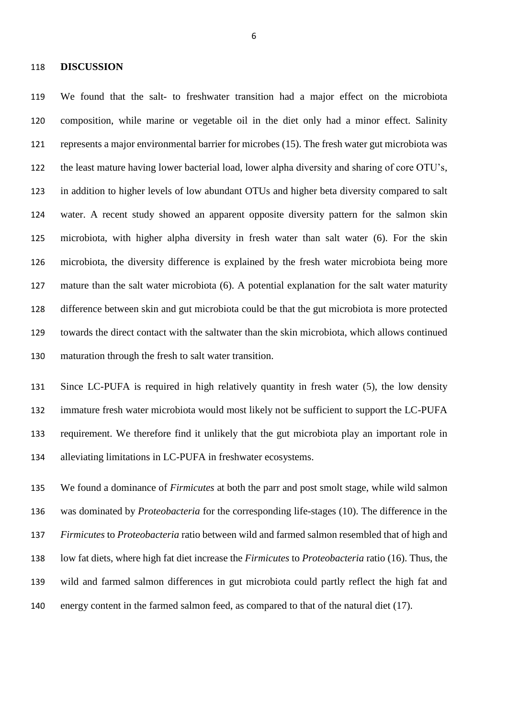#### **DISCUSSION**

 We found that the salt- to freshwater transition had a major effect on the microbiota composition, while marine or vegetable oil in the diet only had a minor effect. Salinity represents a major environmental barrier for microbes (15). The fresh water gut microbiota was the least mature having lower bacterial load, lower alpha diversity and sharing of core OTU's, in addition to higher levels of low abundant OTUs and higher beta diversity compared to salt water. A recent study showed an apparent opposite diversity pattern for the salmon skin microbiota, with higher alpha diversity in fresh water than salt water (6). For the skin microbiota, the diversity difference is explained by the fresh water microbiota being more mature than the salt water microbiota (6). A potential explanation for the salt water maturity difference between skin and gut microbiota could be that the gut microbiota is more protected towards the direct contact with the saltwater than the skin microbiota, which allows continued maturation through the fresh to salt water transition.

 Since LC-PUFA is required in high relatively quantity in fresh water (5), the low density immature fresh water microbiota would most likely not be sufficient to support the LC-PUFA requirement. We therefore find it unlikely that the gut microbiota play an important role in alleviating limitations in LC-PUFA in freshwater ecosystems.

 We found a dominance of *Firmicutes* at both the parr and post smolt stage, while wild salmon was dominated by *Proteobacteria* for the corresponding life-stages (10). The difference in the *Firmicutes* to *Proteobacteria* ratio between wild and farmed salmon resembled that of high and low fat diets, where high fat diet increase the *Firmicutes* to *Proteobacteria* ratio (16). Thus, the wild and farmed salmon differences in gut microbiota could partly reflect the high fat and energy content in the farmed salmon feed, as compared to that of the natural diet (17).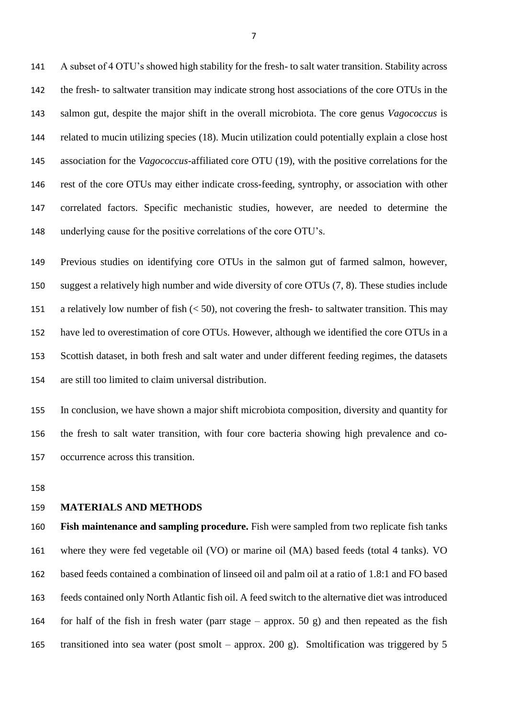A subset of 4 OTU's showed high stability for the fresh- to salt water transition. Stability across the fresh- to saltwater transition may indicate strong host associations of the core OTUs in the salmon gut, despite the major shift in the overall microbiota. The core genus *Vagococcus* is related to mucin utilizing species (18). Mucin utilization could potentially explain a close host association for the *Vagococcus*-affiliated core OTU (19), with the positive correlations for the rest of the core OTUs may either indicate cross-feeding, syntrophy, or association with other correlated factors. Specific mechanistic studies, however, are needed to determine the underlying cause for the positive correlations of the core OTU's.

 Previous studies on identifying core OTUs in the salmon gut of farmed salmon, however, suggest a relatively high number and wide diversity of core OTUs (7, 8). These studies include a relatively low number of fish (< 50), not covering the fresh- to saltwater transition. This may have led to overestimation of core OTUs. However, although we identified the core OTUs in a Scottish dataset, in both fresh and salt water and under different feeding regimes, the datasets are still too limited to claim universal distribution.

 In conclusion, we have shown a major shift microbiota composition, diversity and quantity for the fresh to salt water transition, with four core bacteria showing high prevalence and co-occurrence across this transition.

### **MATERIALS AND METHODS**

 **Fish maintenance and sampling procedure.** Fish were sampled from two replicate fish tanks where they were fed vegetable oil (VO) or marine oil (MA) based feeds (total 4 tanks). VO based feeds contained a combination of linseed oil and palm oil at a ratio of 1.8:1 and FO based feeds contained only North Atlantic fish oil. A feed switch to the alternative diet was introduced 164 for half of the fish in fresh water (parr stage – approx. 50 g) and then repeated as the fish transitioned into sea water (post smolt – approx. 200 g). Smoltification was triggered by 5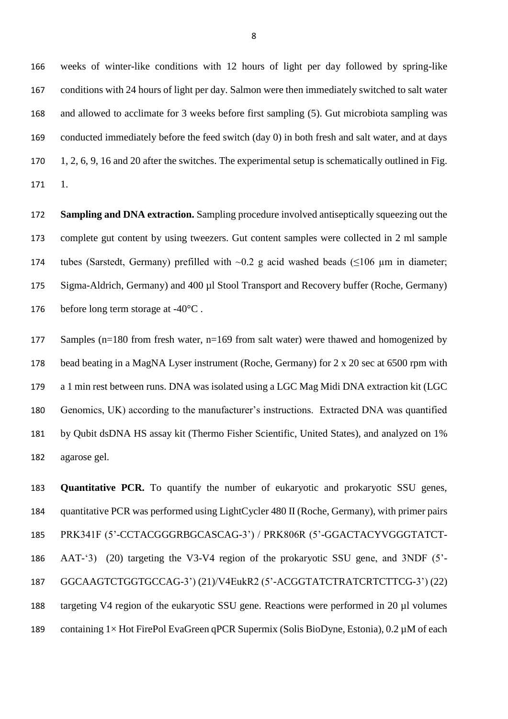weeks of winter-like conditions with 12 hours of light per day followed by spring-like conditions with 24 hours of light per day. Salmon were then immediately switched to salt water and allowed to acclimate for 3 weeks before first sampling (5). Gut microbiota sampling was conducted immediately before the feed switch (day 0) in both fresh and salt water, and at days 1, 2, 6, 9, 16 and 20 after the switches. The experimental setup is schematically outlined in Fig. 1.

 **Sampling and DNA extraction.** Sampling procedure involved antiseptically squeezing out the complete gut content by using tweezers. Gut content samples were collected in 2 ml sample 174 tubes (Sarstedt, Germany) prefilled with  $\sim$ 0.2 g acid washed beads ( $\leq$ 106 µm in diameter; Sigma-Aldrich, Germany) and 400 µl Stool Transport and Recovery buffer (Roche, Germany) 176 before long term storage at -40<sup>o</sup>C.

 Samples (n=180 from fresh water, n=169 from salt water) were thawed and homogenized by bead beating in a MagNA Lyser instrument (Roche, Germany) for 2 x 20 sec at 6500 rpm with a 1 min rest between runs. DNA was isolated using a LGC Mag Midi DNA extraction kit (LGC Genomics, UK) according to the manufacturer's instructions. Extracted DNA was quantified by Qubit dsDNA HS assay kit (Thermo Fisher Scientific, United States), and analyzed on 1% agarose gel.

 **Quantitative PCR.** To quantify the number of eukaryotic and prokaryotic SSU genes, quantitative PCR was performed using LightCycler 480 II (Roche, Germany), with primer pairs PRK341F (5'-CCTACGGGRBGCASCAG-3') / PRK806R (5'-GGACTACYVGGGTATCT- AAT-'3) (20) targeting the V3-V4 region of the prokaryotic SSU gene, and 3NDF (5'- GGCAAGTCTGGTGCCAG-3') (21)/V4EukR2 (5'-ACGGTATCTRATCRTCTTCG-3') (22) targeting V4 region of the eukaryotic SSU gene. Reactions were performed in 20 µl volumes containing 1× Hot FirePol EvaGreen qPCR Supermix (Solis BioDyne, Estonia), 0.2 µM of each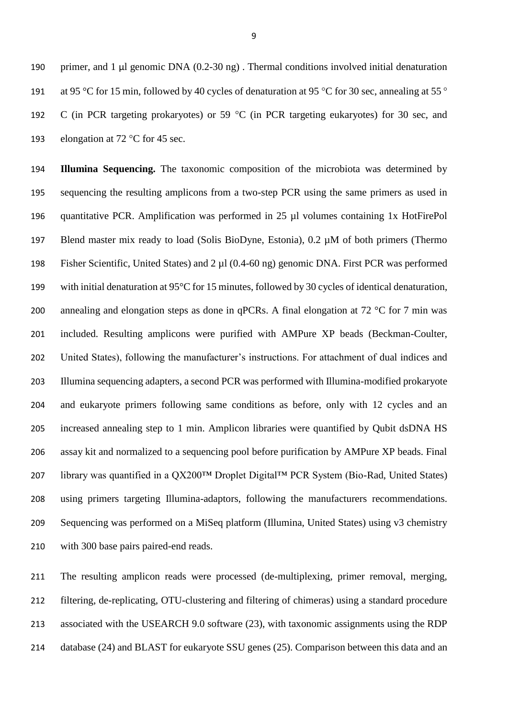190 primer, and 1  $\mu$ l genomic DNA (0.2-30 ng). Thermal conditions involved initial denaturation at 95 °C for 15 min, followed by 40 cycles of denaturation at 95 °C for 30 sec, annealing at 55 ° C (in PCR targeting prokaryotes) or 59 °C (in PCR targeting eukaryotes) for 30 sec, and 193 elongation at 72 °C for 45 sec.

 **Illumina Sequencing.** The taxonomic composition of the microbiota was determined by sequencing the resulting amplicons from a two-step PCR using the same primers as used in quantitative PCR. Amplification was performed in 25 µl volumes containing 1x HotFirePol 197 Blend master mix ready to load (Solis BioDyne, Estonia), 0.2  $\mu$ M of both primers (Thermo Fisher Scientific, United States) and 2 µl (0.4-60 ng) genomic DNA. First PCR was performed with initial denaturation at 95°C for 15 minutes, followed by 30 cycles of identical denaturation, 200 annealing and elongation steps as done in qPCRs. A final elongation at 72  $\degree$ C for 7 min was included. Resulting amplicons were purified with AMPure XP beads (Beckman-Coulter, United States), following the manufacturer's instructions. For attachment of dual indices and Illumina sequencing adapters, a second PCR was performed with Illumina-modified prokaryote and eukaryote primers following same conditions as before, only with 12 cycles and an increased annealing step to 1 min. Amplicon libraries were quantified by Qubit dsDNA HS assay kit and normalized to a sequencing pool before purification by AMPure XP beads. Final library was quantified in a QX200™ Droplet Digital™ PCR System (Bio-Rad, United States) using primers targeting Illumina-adaptors, following the manufacturers recommendations. Sequencing was performed on a MiSeq platform (Illumina, United States) using v3 chemistry with 300 base pairs paired-end reads.

 The resulting amplicon reads were processed (de-multiplexing, primer removal, merging, filtering, de-replicating, OTU-clustering and filtering of chimeras) using a standard procedure associated with the USEARCH 9.0 software (23), with taxonomic assignments using the RDP 214 database (24) and BLAST for eukaryote SSU genes (25). Comparison between this data and an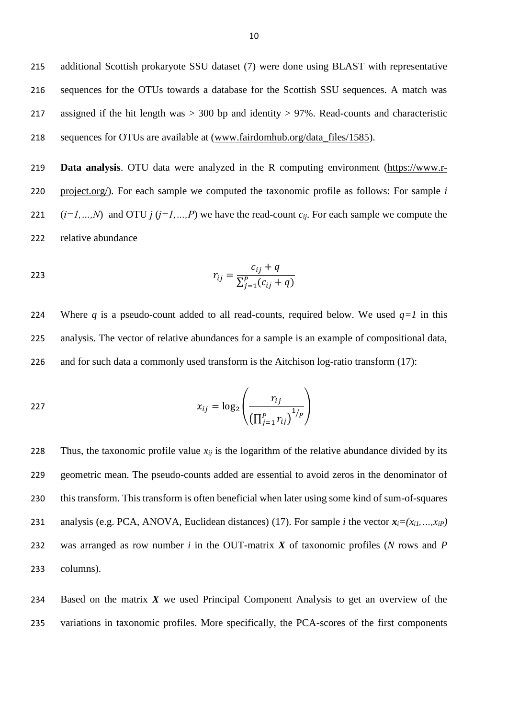additional Scottish prokaryote SSU dataset (7) were done using BLAST with representative sequences for the OTUs towards a database for the Scottish SSU sequences. A match was assigned if the hit length was > 300 bp and identity > 97%. Read-counts and characteristic sequences for OTUs are available at [\(www.fairdomhub.org/data\\_files/1585\)](http://www.fairdomhub.org/data_files/1585).

 **Data analysis**. OTU data were analyzed in the R computing environment [\(https://www.r-](https://www.r-project.org/) [project.org/\)](https://www.r-project.org/). For each sample we computed the taxonomic profile as follows: For sample *i*  $(i=1,...,N)$  and OTU  $j$  ( $j=1,...,P$ ) we have the read-count  $c_{ij}$ . For each sample we compute the relative abundance

223 
$$
r_{ij} = \frac{c_{ij} + q}{\sum_{j=1}^{P} (c_{ij} + q)}
$$

224 Where *q* is a pseudo-count added to all read-counts, required below. We used  $q=1$  in this 225 analysis. The vector of relative abundances for a sample is an example of compositional data, 226 and for such data a commonly used transform is the Aitchison log-ratio transform (17):

$$
x_{ij} = \log_2\left(\frac{r_{ij}}{\left(\prod_{j=1}^P r_{ij}\right)^{1/p}}\right)
$$

228 Thus, the taxonomic profile value  $x_{ij}$  is the logarithm of the relative abundance divided by its geometric mean. The pseudo-counts added are essential to avoid zeros in the denominator of this transform. This transform is often beneficial when later using some kind of sum-of-squares 231 analysis (e.g. PCA, ANOVA, Euclidean distances) (17). For sample *i* the vector  $x_i = (x_{i1},...,x_{iP})$  was arranged as row number *i* in the OUT-matrix *X* of taxonomic profiles (*N* rows and *P* columns).

234 Based on the matrix *X* we used Principal Component Analysis to get an overview of the 235 variations in taxonomic profiles. More specifically, the PCA-scores of the first components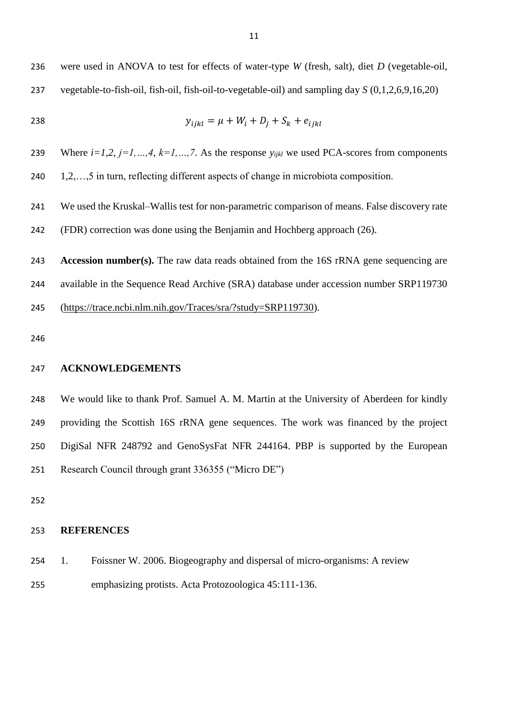238 
$$
y_{ijkl} = \mu + W_i + D_j + S_k + e_{ijkl}
$$

Where *i=1,2*, *j=1,…,4*, *k=1,…,7*. As the response *yijkl* we used PCA-scores from components

1,2,…,5 in turn, reflecting different aspects of change in microbiota composition.

 We used the Kruskal–Wallis test for non-parametric comparison of means. False discovery rate (FDR) correction was done using the Benjamin and Hochberg approach (26).

 **Accession number(s).** The raw data reads obtained from the 16S rRNA gene sequencing are available in the Sequence Read Archive (SRA) database under accession number SRP119730 [\(https://trace.ncbi.nlm.nih.gov/Traces/sra/?study=SRP119730\)](https://trace.ncbi.nlm.nih.gov/Traces/sra/?study=SRP119730).

## **ACKNOWLEDGEMENTS**

 We would like to thank Prof. Samuel A. M. Martin at the University of Aberdeen for kindly providing the Scottish 16S rRNA gene sequences. The work was financed by the project DigiSal NFR 248792 and GenoSysFat NFR 244164. PBP is supported by the European Research Council through grant 336355 ("Micro DE")

## **REFERENCES**

 1. Foissner W. 2006. Biogeography and dispersal of micro-organisms: A review emphasizing protists. Acta Protozoologica 45:111-136.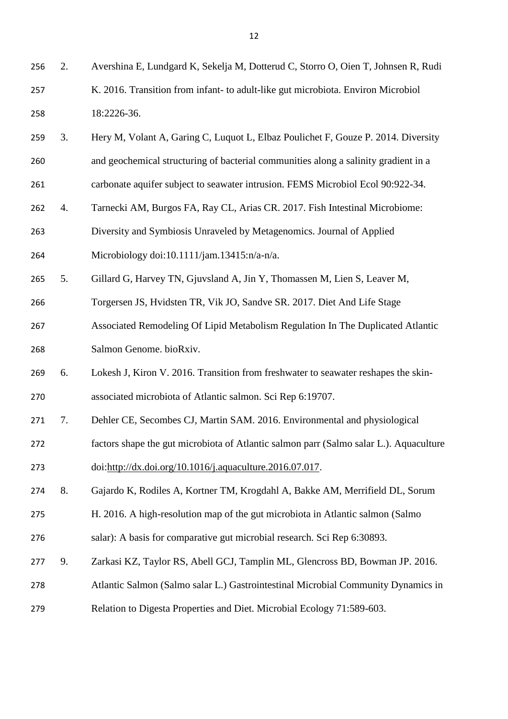- 2. Avershina E, Lundgard K, Sekelja M, Dotterud C, Storro O, Oien T, Johnsen R, Rudi K. 2016. Transition from infant- to adult-like gut microbiota. Environ Microbiol 18:2226-36.
- 3. Hery M, Volant A, Garing C, Luquot L, Elbaz Poulichet F, Gouze P. 2014. Diversity and geochemical structuring of bacterial communities along a salinity gradient in a
- carbonate aquifer subject to seawater intrusion. FEMS Microbiol Ecol 90:922-34.
- 4. Tarnecki AM, Burgos FA, Ray CL, Arias CR. 2017. Fish Intestinal Microbiome:
- Diversity and Symbiosis Unraveled by Metagenomics. Journal of Applied
- Microbiology doi:10.1111/jam.13415:n/a-n/a.
- 5. Gillard G, Harvey TN, Gjuvsland A, Jin Y, Thomassen M, Lien S, Leaver M,
- Torgersen JS, Hvidsten TR, Vik JO, Sandve SR. 2017. Diet And Life Stage
- Associated Remodeling Of Lipid Metabolism Regulation In The Duplicated Atlantic Salmon Genome. bioRxiv.
- 6. Lokesh J, Kiron V. 2016. Transition from freshwater to seawater reshapes the skin-associated microbiota of Atlantic salmon. Sci Rep 6:19707.
- 7. Dehler CE, Secombes CJ, Martin SAM. 2016. Environmental and physiological
- factors shape the gut microbiota of Atlantic salmon parr (Salmo salar L.). Aquaculture
- doi[:http://dx.doi.org/10.1016/j.aquaculture.2016.07.017.](http://dx.doi.org/10.1016/j.aquaculture.2016.07.017)
- 8. Gajardo K, Rodiles A, Kortner TM, Krogdahl A, Bakke AM, Merrifield DL, Sorum
- H. 2016. A high-resolution map of the gut microbiota in Atlantic salmon (Salmo
- salar): A basis for comparative gut microbial research. Sci Rep 6:30893.
- 9. Zarkasi KZ, Taylor RS, Abell GCJ, Tamplin ML, Glencross BD, Bowman JP. 2016.
- Atlantic Salmon (Salmo salar L.) Gastrointestinal Microbial Community Dynamics in
- Relation to Digesta Properties and Diet. Microbial Ecology 71:589-603.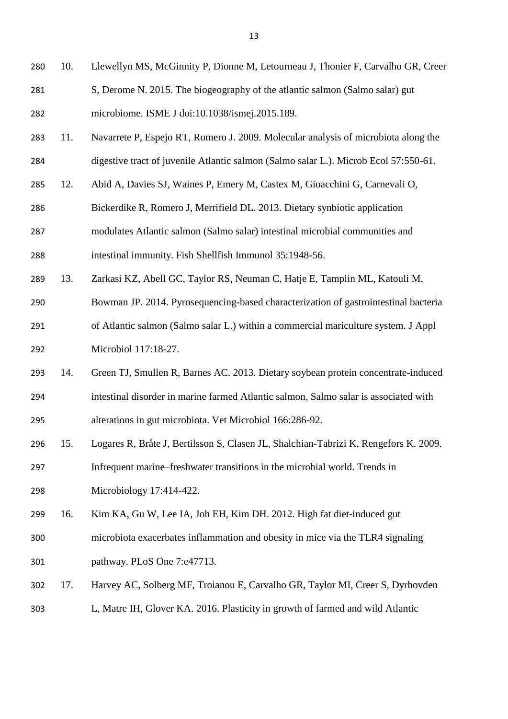- 10. Llewellyn MS, McGinnity P, Dionne M, Letourneau J, Thonier F, Carvalho GR, Creer S, Derome N. 2015. The biogeography of the atlantic salmon (Salmo salar) gut microbiome. ISME J doi:10.1038/ismej.2015.189.
- 11. Navarrete P, Espejo RT, Romero J. 2009. Molecular analysis of microbiota along the digestive tract of juvenile Atlantic salmon (Salmo salar L.). Microb Ecol 57:550-61.
- 12. Abid A, Davies SJ, Waines P, Emery M, Castex M, Gioacchini G, Carnevali O,
- Bickerdike R, Romero J, Merrifield DL. 2013. Dietary synbiotic application
- modulates Atlantic salmon (Salmo salar) intestinal microbial communities and
- intestinal immunity. Fish Shellfish Immunol 35:1948-56.
- 13. Zarkasi KZ, Abell GC, Taylor RS, Neuman C, Hatje E, Tamplin ML, Katouli M,
- Bowman JP. 2014. Pyrosequencing-based characterization of gastrointestinal bacteria
- of Atlantic salmon (Salmo salar L.) within a commercial mariculture system. J Appl Microbiol 117:18-27.
- 14. Green TJ, Smullen R, Barnes AC. 2013. Dietary soybean protein concentrate-induced intestinal disorder in marine farmed Atlantic salmon, Salmo salar is associated with alterations in gut microbiota. Vet Microbiol 166:286-92.
- 15. Logares R, Bråte J, Bertilsson S, Clasen JL, Shalchian-Tabrizi K, Rengefors K. 2009.
- Infrequent marine–freshwater transitions in the microbial world. Trends in Microbiology 17:414-422.
- 16. Kim KA, Gu W, Lee IA, Joh EH, Kim DH. 2012. High fat diet-induced gut
- microbiota exacerbates inflammation and obesity in mice via the TLR4 signaling pathway. PLoS One 7:e47713.
- 17. Harvey AC, Solberg MF, Troianou E, Carvalho GR, Taylor MI, Creer S, Dyrhovden
- L, Matre IH, Glover KA. 2016. Plasticity in growth of farmed and wild Atlantic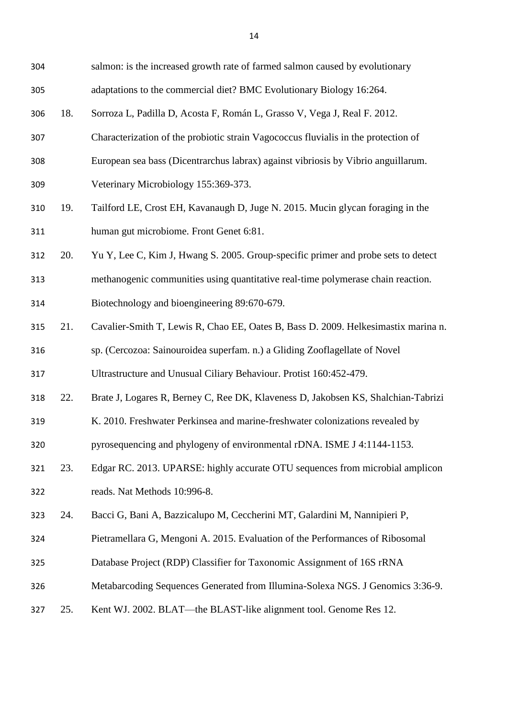| 304 |     | salmon: is the increased growth rate of farmed salmon caused by evolutionary       |
|-----|-----|------------------------------------------------------------------------------------|
| 305 |     | adaptations to the commercial diet? BMC Evolutionary Biology 16:264.               |
| 306 | 18. | Sorroza L, Padilla D, Acosta F, Román L, Grasso V, Vega J, Real F. 2012.           |
| 307 |     | Characterization of the probiotic strain Vagococcus fluvialis in the protection of |
| 308 |     | European sea bass (Dicentrarchus labrax) against vibriosis by Vibrio anguillarum.  |
| 309 |     | Veterinary Microbiology 155:369-373.                                               |
| 310 | 19. | Tailford LE, Crost EH, Kavanaugh D, Juge N. 2015. Mucin glycan foraging in the     |
| 311 |     | human gut microbiome. Front Genet 6:81.                                            |
| 312 | 20. | Yu Y, Lee C, Kim J, Hwang S. 2005. Group-specific primer and probe sets to detect  |
| 313 |     | methanogenic communities using quantitative real-time polymerase chain reaction.   |
| 314 |     | Biotechnology and bioengineering 89:670-679.                                       |
| 315 | 21. | Cavalier-Smith T, Lewis R, Chao EE, Oates B, Bass D. 2009. Helkesimastix marina n. |
| 316 |     | sp. (Cercozoa: Sainouroidea superfam. n.) a Gliding Zooflagellate of Novel         |
| 317 |     | Ultrastructure and Unusual Ciliary Behaviour. Protist 160:452-479.                 |
| 318 | 22. | Brate J, Logares R, Berney C, Ree DK, Klaveness D, Jakobsen KS, Shalchian-Tabrizi  |
| 319 |     | K. 2010. Freshwater Perkinsea and marine-freshwater colonizations revealed by      |
| 320 |     | pyrosequencing and phylogeny of environmental rDNA. ISME J 4:1144-1153.            |
| 321 | 23. | Edgar RC. 2013. UPARSE: highly accurate OTU sequences from microbial amplicon      |
| 322 |     | reads. Nat Methods 10:996-8.                                                       |
| 323 | 24. | Bacci G, Bani A, Bazzicalupo M, Ceccherini MT, Galardini M, Nannipieri P,          |
| 324 |     | Pietramellara G, Mengoni A. 2015. Evaluation of the Performances of Ribosomal      |
| 325 |     | Database Project (RDP) Classifier for Taxonomic Assignment of 16S rRNA             |
| 326 |     | Metabarcoding Sequences Generated from Illumina-Solexa NGS. J Genomics 3:36-9.     |
| 327 | 25. | Kent WJ. 2002. BLAT—the BLAST-like alignment tool. Genome Res 12.                  |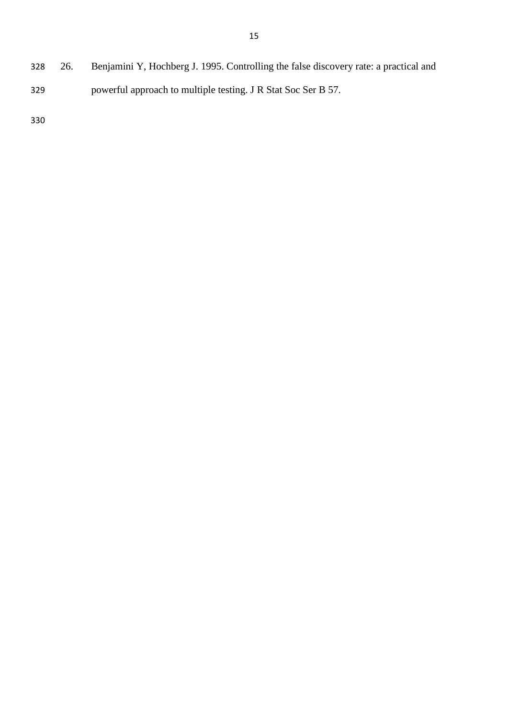26. Benjamini Y, Hochberg J. 1995. Controlling the false discovery rate: a practical and powerful approach to multiple testing. J R Stat Soc Ser B 57.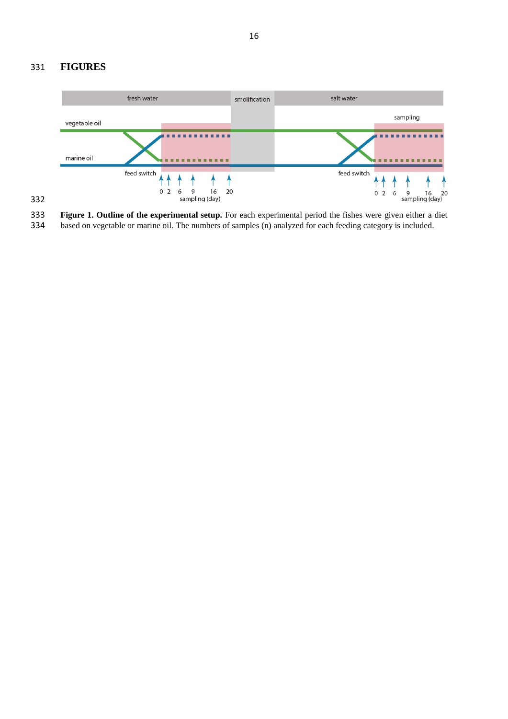## 331 **FIGURES**



**Figure 1. Outline of the experimental setup.** For each experimental period the fishes were given either a diet based on vegetable or marine oil. The numbers of samples (n) analyzed for each feeding category is included. based on vegetable or marine oil. The numbers of samples (n) analyzed for each feeding category is included.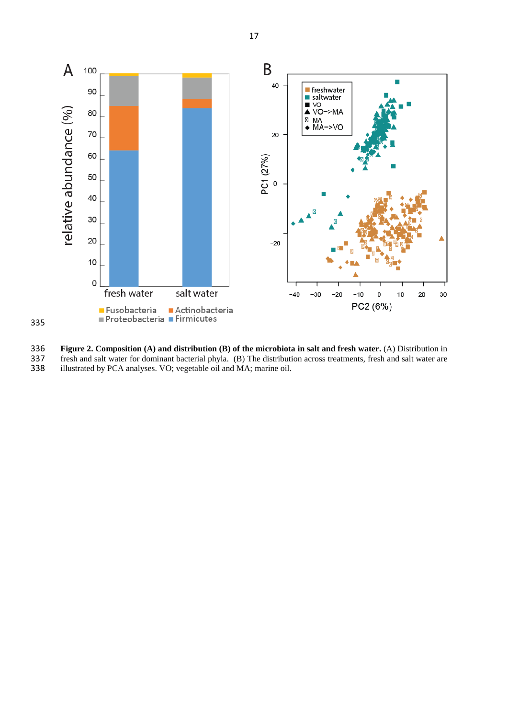

335

**Figure 2. Composition (A) and distribution (B) of the microbiota in salt and fresh water. (A) Distribution in fresh and salt water for dominant bacterial phyla. (B) The distribution across treatments, fresh and salt water** 337 fresh and salt water for dominant bacterial phyla. (B) The distribution across treatments, fresh and salt water are illustrated by PCA analyses. VO; vegetable oil and MA; marine oil. illustrated by PCA analyses. VO; vegetable oil and MA; marine oil.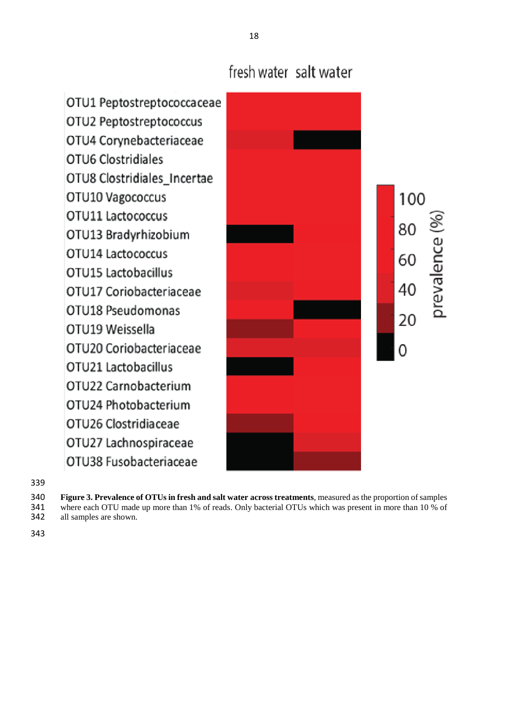# fresh water salt water

OTU1 Peptostreptococcaceae OTU2 Peptostreptococcus OTU4 Corynebacteriaceae OTU6 Clostridiales OTU8 Clostridiales\_Incertae 100 OTU10 Vagococcus OTU11 Lactococcus prevalence (%) 80 OTU13 Bradyrhizobium OTU14 Lactococcus 60 OTU15 Lactobacillus 40 OTU17 Coriobacteriaceae OTU18 Pseudomonas 20 OTU19 Weissella OTU20 Coriobacteriaceae OTU21 Lactobacillus OTU22 Carnobacterium OTU24 Photobacterium OTU26 Clostridiaceae OTU27 Lachnospiraceae OTU38 Fusobacteriaceae

- **Figure 3. Prevalence of OTUs in fresh and salt water across treatments**, measured as the proportion of samples<br>341 where each OTU made up more than 1% of reads. Only bacterial OTUs which was present in more than 10 % of 341 where each OTU made up more than 1% of reads. Only bacterial OTUs which was present in more than 10 % of all samples are shown.
- all samples are shown.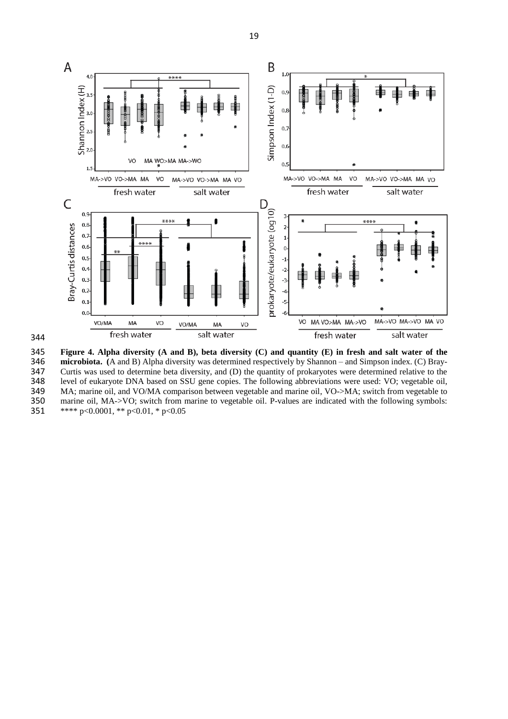

344

345 **Figure 4. Alpha diversity (A and B), beta diversity (C) and quantity (E) in fresh and salt water of the**  346 **microbiota.** (A and B) Alpha diversity was determined respectively by Shannon – and Simpson index. (C) Bray-<br>347 Curtis was used to determine beta diversity, and (D) the quantity of prokaryotes were determined relativ 347 Curtis was used to determine beta diversity, and (D) the quantity of prokaryotes were determined relative to the level of eukaryote DNA based on SSU gene copies. The following abbreviations were used: VO; vegetable oil 348 level of eukaryote DNA based on SSU gene copies. The following abbreviations were used: VO; vegetable oil, MA; marine oil, and VO/MA comparison between vegetable and marine oil, VO->MA; switch from vegetable to 349 MA; marine oil, and VO/MA comparison between vegetable and marine oil, VO->MA; switch from vegetable to marine oil, MA->VO; switch from marine to vegetable oil. P-values are indicated with the following symbols: 350 marine oil, MA->VO; switch from marine to vegetable oil. P-values are indicated with the following symbols:<br>351 \*\*\*\* p<0.0001, \*\* p<0.01, \* p<0.05 \*\*\*\* p<0.0001, \*\* p<0.01, \* p<0.05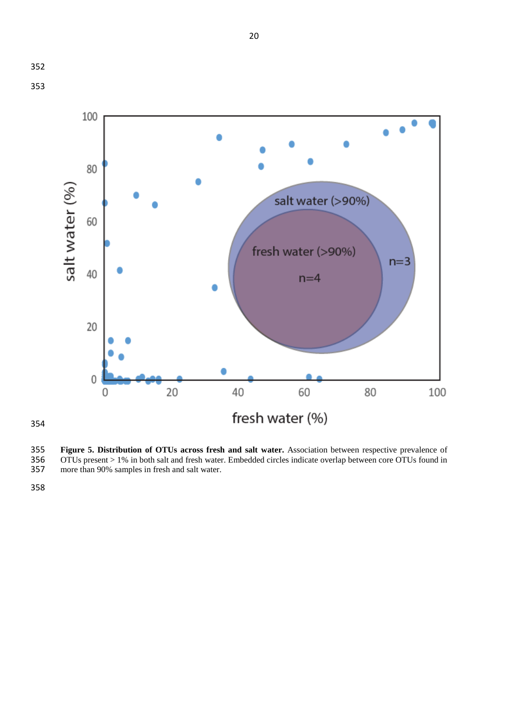



**Figure 5. Distribution of OTUs across fresh and salt water.** Association between respective prevalence of OTUs present > 1% in both salt and fresh water. Embedded circles indicate overlap between core OTUs found in more t OTUs present > 1% in both salt and fresh water. Embedded circles indicate overlap between core OTUs found in more than 90% samples in fresh and salt water.